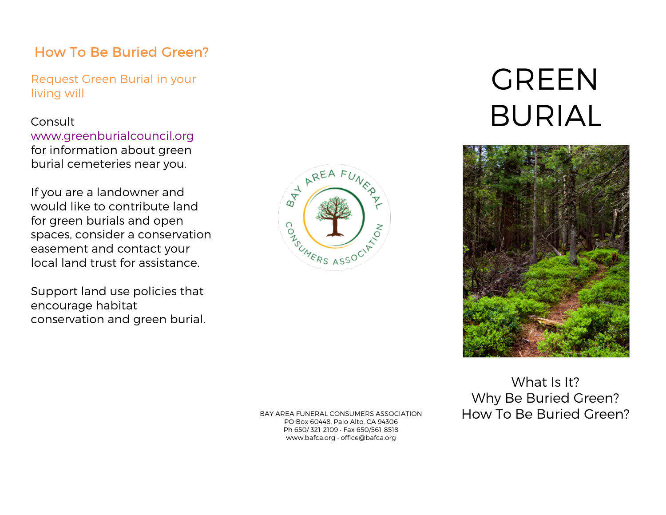## How To Be Buried Green?

Request Green Burial in your living will

#### Consult

www.greenburialcouncil.org for information about green burial cemeteries near you.

If you are a landowner and would like to contribute land for green burials and open spaces, consider a conservation easement and contact your local land trust for assistance.

Support land use policies that encourage habitat conservation and green burial.



# **GREEN** BURIAL



BAY AREA FUNERAL CONSUMERS ASSOCIATION PO Box 60448, Palo Alto, CA 94306 Ph 650/ 321-2109 • Fax 650/561-8518 www.bafca.org • office@bafca.org

What Is It? Why Be Buried Green? How To Be Buried Green?